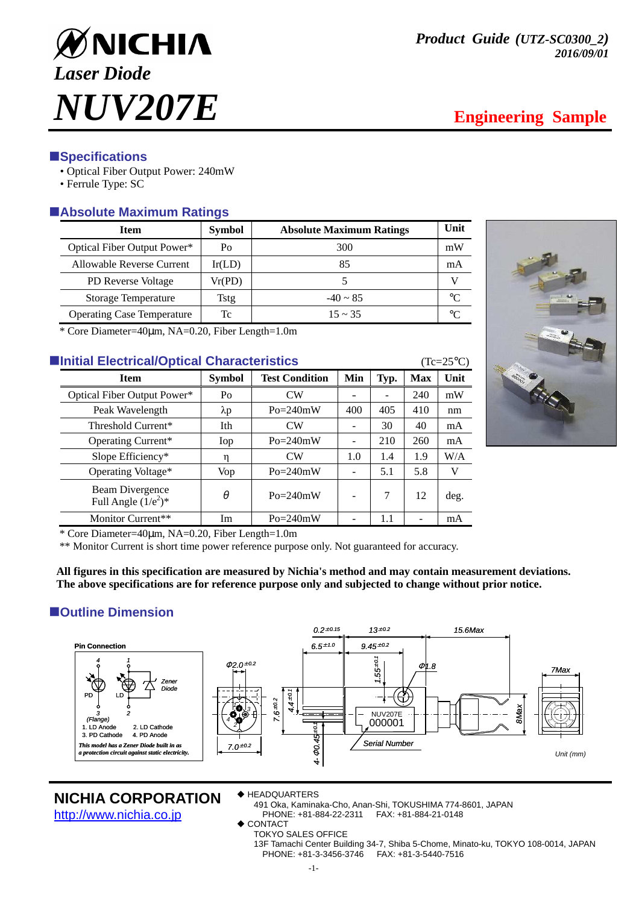

## **ESpecifications**

- Optical Fiber Output Power: 240mW
- Ferrule Type: SC

## -**Absolute Maximum Ratings**

| <b>Item</b>                       | <b>Symbol</b> | <b>Absolute Maximum Ratings</b> | Unit    |
|-----------------------------------|---------------|---------------------------------|---------|
| Optical Fiber Output Power*       | Po            | 300                             | mW      |
| Allowable Reverse Current         | Ir(LD)        | 85                              | mA      |
| <b>PD</b> Reverse Voltage         | Vr(PD)        |                                 |         |
| Storage Temperature               | <b>Tstg</b>   | $-40 \sim 85$                   | $\circ$ |
| <b>Operating Case Temperature</b> | Тc            | $15 \sim 35$                    | $\circ$ |

\* Core Diameter=40µm, NA=0.20, Fiber Length=1.0m

## **Example 25 Initial Electrical/Optical Characteristics** (Tc=25°C)

| <b>Item</b>                               | <b>Symbol</b>  | <b>Test Condition</b> | Min | Typ. | Max | Unit |
|-------------------------------------------|----------------|-----------------------|-----|------|-----|------|
| Optical Fiber Output Power*               | P <sub>O</sub> | CW                    |     |      | 240 | mW   |
| Peak Wavelength                           | λp             | $Po = 240mW$          | 400 | 405  | 410 | nm   |
| Threshold Current*                        | Ith            | <b>CW</b>             |     | 30   | 40  | mA   |
| Operating Current*                        | Iop            | $Po = 240mW$          |     | 210  | 260 | mA   |
| Slope Efficiency*                         | η              | <b>CW</b>             | 1.0 | 1.4  | 1.9 | W/A  |
| Operating Voltage*                        | Vop            | $Po = 240mW$          |     | 5.1  | 5.8 | V    |
| Beam Divergence<br>Full Angle $(1/e^2)^*$ | θ              | $Po = 240mW$          |     | 7    | 12  | deg. |
| Monitor Current**                         | Im             | $Po = 240mW$          |     | 1.1  |     | mA   |



\* Core Diameter=40µm, NA=0.20, Fiber Length=1.0m

\*\* Monitor Current is short time power reference purpose only. Not guaranteed for accuracy.

**All figures in this specification are measured by Nichia's method and may contain measurement deviations. The above specifications are for reference purpose only and subjected to change without prior notice.** 

## $\blacksquare$  Outline Dimension



#### **NICHIA CORPORATION**

http://www.nichia.co.jp

◆ HEADQUARTERS

491 Oka, Kaminaka-Cho, Anan-Shi, TOKUSHIMA 774-8601, JAPAN PHONE: +81-884-22-2311 FAX: +81-884-21-0148

◆ CONTACT

TOKYO SALES OFFICE 13F Tamachi Center Building 34-7, Shiba 5-Chome, Minato-ku, TOKYO 108-0014, JAPAN PHONE: +81-3-3456-3746 FAX: +81-3-5440-7516